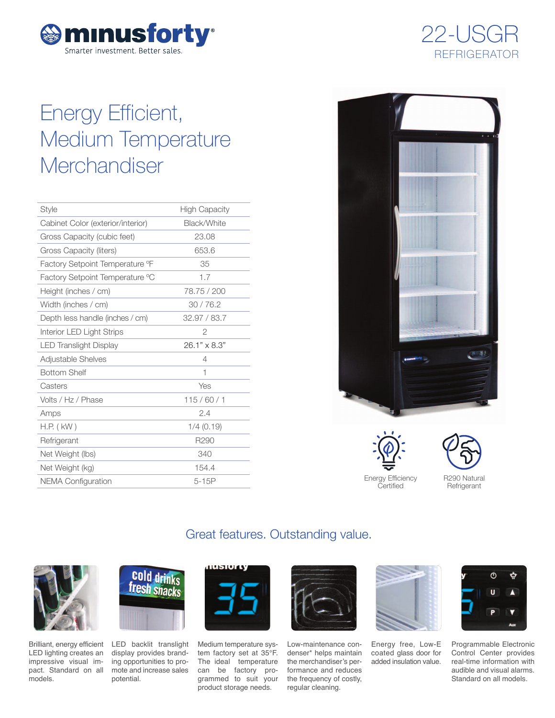



# Energy Efficient, Medium Temperature **Merchandiser**

| <b>Style</b>                      | <b>High Capacity</b> |
|-----------------------------------|----------------------|
| Cabinet Color (exterior/interior) | Black/White          |
| Gross Capacity (cubic feet)       | 23.08                |
| Gross Capacity (liters)           | 653.6                |
| Factory Setpoint Temperature °F   | 35                   |
| Factory Setpoint Temperature °C   | 1.7                  |
| Height (inches / cm)              | 78.75 / 200          |
| Width (inches / cm)               | 30/76.2              |
| Depth less handle (inches / cm)   | 32,97 / 83,7         |
| Interior LED Light Strips         | $\overline{2}$       |
| <b>LED Translight Display</b>     | $26.1" \times 8.3"$  |
| Adjustable Shelves                | 4                    |
| <b>Bottom Shelf</b>               | 1                    |
| Casters                           | Yes                  |
| Volts / Hz / Phase                | 115/60/1             |
| Amps                              | 2.4                  |
| $H.P.$ ( $kW$ )                   | $1/4$ (0.19)         |
| Refrigerant                       | R290                 |
| Net Weight (lbs)                  | 340                  |
| Net Weight (kg)                   | 154.4                |
| <b>NEMA Configuration</b>         | $5-15P$              |



Energy Efficiency **Certified** 



### **Refrigerant**

### Great features. Outstanding value.



Brilliant, energy efficient LED lighting creates an impressive visual impact. Standard on all models.



LED backlit translight display provides branding opportunities to promote and increase sales potential.



Medium temperature system factory set at 35°F. The ideal temperature can be factory programmed to suit your product storage needs.



Low-maintenance condenser\* helps maintain the merchandiser's performance and reduces the frequency of costly, regular cleaning.



Energy free, Low-E coated glass door for added insulation value.



Programmable Electronic Control Center provides real-time information with audible and visual alarms. Standard on all models.